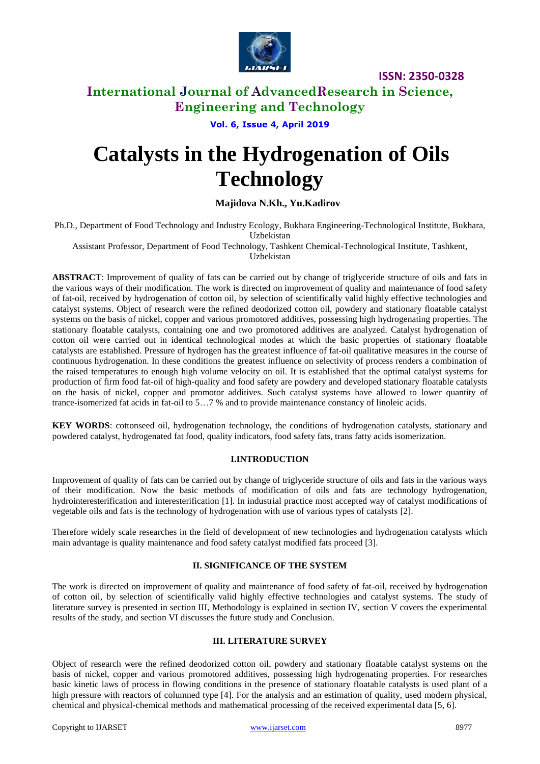

# **International Journal of AdvancedResearch in Science, Engineering and Technology**

**Vol. 6, Issue 4, April 2019**

# **Catalysts in the Hydrogenation of Oils Technology**

# **Majidova N.Kh., Yu.Kadirov**

Ph.D., Department of Food Technology and Industry Ecology, Bukhara Engineering-Technological Institute, Bukhara, Uzbekistan

Assistant Professor, Department of Food Technology, Tashkent Chemical-Technological Institute, Tashkent,

Uzbekistan

**ABSTRACT**: Improvement of quality of fats can be carried out by change of triglyceride structure of oils and fats in the various ways of their modification. The work is directed on improvement of quality and maintenance of food safety of fat-oil, received by hydrogenation of cotton oil, by selection of scientifically valid highly effective technologies and catalyst systems. Object of research were the refined deodorized cotton oil, powdery and stationary floatable catalyst systems on the basis of nickel, copper and various promotored additives, possessing high hydrogenating properties. The stationary floatable catalysts, containing one and two promotored additives are analyzed. Catalyst hydrogenation of cotton oil were carried out in identical technological modes at which the basic properties of stationary floatable catalysts are established. Pressure of hydrogen has the greatest influence of fat-oil qualitative measures in the course of continuous hydrogenation. In these conditions the greatest influence on selectivity of process renders a combination of the raised temperatures to enough high volume velocity on oil. It is established that the optimal catalyst systems for production of firm food fat-oil of high-quality and food safety are powdery and developed stationary floatable catalysts on the basis of nickel, copper and promotor additives. Such catalyst systems have allowed to lower quantity of trance-isomerized fat acids in fat-oil to 5…7 % and to provide maintenance constancy of linoleic acids.

**KEY WORDS**: cottonseed oil, hydrogenation technology, the conditions of hydrogenation catalysts, stationary and powdered catalyst, hydrogenated fat food, quality indicators, food safety fats, trans fatty acids isomerization.

## **I.INTRODUCTION**

Improvement of quality of fats can be carried out by change of triglyceride structure of oils and fats in the various ways of their modification. Now the basic methods of modification of oils and fats are technology hydrogenation, hydrointeresterification and interesterification [1]. In industrial practice most accepted way of catalyst modifications of vegetable oils and fats is the technology of hydrogenation with use of various types of catalysts [2].

Therefore widely scale researches in the field of development of new technologies and hydrogenation catalysts which main advantage is quality maintenance and food safety catalyst modified fats proceed [3].

## **II. SIGNIFICANCE OF THE SYSTEM**

The work is directed on improvement of quality and maintenance of food safety of fat-oil, received by hydrogenation of cotton oil, by selection of scientifically valid highly effective technologies and catalyst systems. The study of literature survey is presented in section III, Methodology is explained in section IV, section V covers the experimental results of the study, and section VI discusses the future study and Conclusion.

#### **III. LITERATURE SURVEY**

Object of research were the refined deodorized cotton oil, powdery and stationary floatable catalyst systems on the basis of nickel, copper and various promotored additives, possessing high hydrogenating properties. For researches basic kinetic laws of process in flowing conditions in the presence of stationary floatable catalysts is used plant of a high pressure with reactors of columned type [4]. For the analysis and an estimation of quality, used modern physical, chemical and physical-chemical methods and mathematical processing of the received experimental data [5, 6].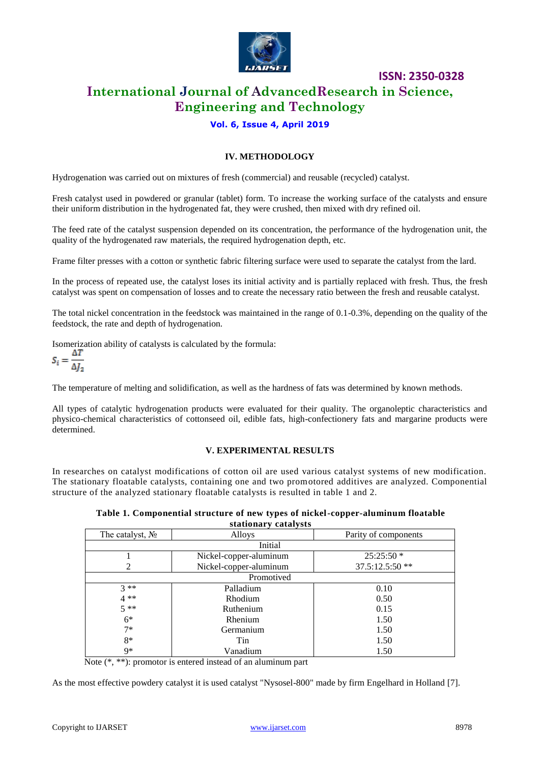

# **International Journal of AdvancedResearch in Science, Engineering and Technology**

# **Vol. 6, Issue 4, April 2019**

## **IV. METHODOLOGY**

Hydrogenation was carried out on mixtures of fresh (commercial) and reusable (recycled) catalyst.

Fresh catalyst used in powdered or granular (tablet) form. To increase the working surface of the catalysts and ensure their uniform distribution in the hydrogenated fat, they were crushed, then mixed with dry refined oil.

The feed rate of the catalyst suspension depended on its concentration, the performance of the hydrogenation unit, the quality of the hydrogenated raw materials, the required hydrogenation depth, etc.

Frame filter presses with a cotton or synthetic fabric filtering surface were used to separate the catalyst from the lard.

In the process of repeated use, the catalyst loses its initial activity and is partially replaced with fresh. Thus, the fresh catalyst was spent on compensation of losses and to create the necessary ratio between the fresh and reusable catalyst.

The total nickel concentration in the feedstock was maintained in the range of 0.1-0.3%, depending on the quality of the feedstock, the rate and depth of hydrogenation.

Isomerization ability of catalysts is calculated by the formula:

$$
S_i = \frac{\Delta T}{\Delta J_2}
$$

The temperature of melting and solidification, as well as the hardness of fats was determined by known methods.

All types of catalytic hydrogenation products were evaluated for their quality. The organoleptic characteristics and physico-chemical characteristics of cottonseed oil, edible fats, high-confectionery fats and margarine products were determined.

#### **V. EXPERIMENTAL RESULTS**

In researches on catalyst modifications of cotton oil are used various catalyst systems of new modification. The stationary floatable catalysts, containing one and two promotored additives are analyzed. Componential structure of the analyzed stationary floatable catalysts is resulted in table 1 and 2.

> **Table 1. Componential structure of new types of nickel-copper-aluminum floatable stationary catalysts**

| The catalyst, $N_2$ | Alloys                 | Parity of components |  |  |  |  |
|---------------------|------------------------|----------------------|--|--|--|--|
| Initial             |                        |                      |  |  |  |  |
|                     | Nickel-copper-aluminum | $25:25:50*$          |  |  |  |  |
| 2                   | Nickel-copper-aluminum | $37.5:12.5:50**$     |  |  |  |  |
| Promotived          |                        |                      |  |  |  |  |
| $3**$               | Palladium              | 0.10                 |  |  |  |  |
| $4**$               | Rhodium                | 0.50                 |  |  |  |  |
| $5**$               | Ruthenium              | 0.15                 |  |  |  |  |
| $6*$                | Rhenium                | 1.50                 |  |  |  |  |
| $7*$                | Germanium              | 1.50                 |  |  |  |  |
| $8*$                | Tin                    | 1.50                 |  |  |  |  |
| 9*                  | Vanadium               | 1.50                 |  |  |  |  |

Note (\*, \*\*): promotor is entered instead of an aluminum part

As the most effective powdery catalyst it is used catalyst "Nysosel-800" made by firm Engelhard in Holland [7].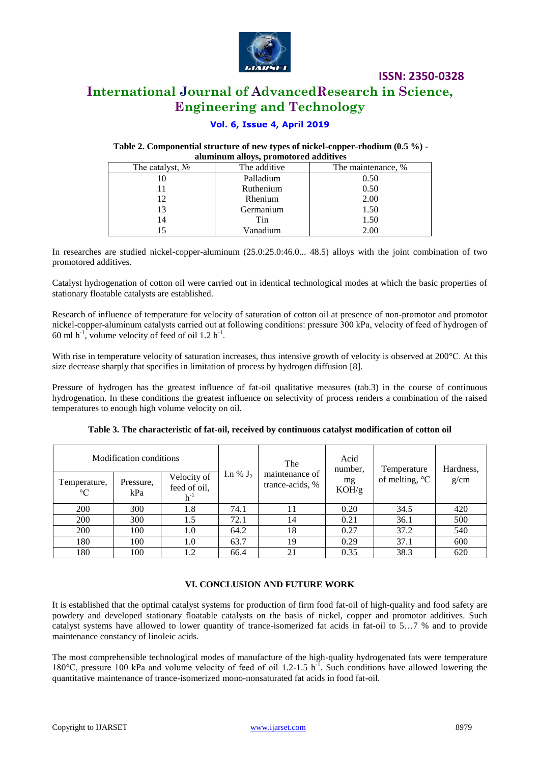

# **International Journal of AdvancedResearch in Science, Engineering and Technology**

## **Vol. 6, Issue 4, April 2019**

#### **Table 2. Componential structure of new types of nickel-copper-rhodium (0.5 %) aluminum alloys, promotored additives**

| The catalyst, $N_2$ | The additive | The maintenance, % |  |  |  |
|---------------------|--------------|--------------------|--|--|--|
|                     | Palladium    | 0.50               |  |  |  |
|                     | Ruthenium    | 0.50               |  |  |  |
| 12                  | Rhenium      | 2.00               |  |  |  |
| 13                  | Germanium    | 1.50               |  |  |  |
| 14                  | Tin          | 1.50               |  |  |  |
|                     | Vanadium     | 2.00               |  |  |  |
|                     |              |                    |  |  |  |

In researches are studied nickel-copper-aluminum (25.0:25.0:46.0... 48.5) alloys with the joint combination of two promotored additives.

Catalyst hydrogenation of cotton oil were carried out in identical technological modes at which the basic properties of stationary floatable catalysts are established.

Research of influence of temperature for velocity of saturation of cotton oil at presence of non-promotor and promotor nickel-copper-aluminum catalysts carried out at following conditions: pressure 300 kPа, velocity of feed of hydrogen of 60 ml  $h^{-1}$ , volume velocity of feed of oil 1.2  $h^{-1}$ .

With rise in temperature velocity of saturation increases, thus intensive growth of velocity is observed at 200°С. At this size decrease sharply that specifies in limitation of process by hydrogen diffusion [8].

Pressure of hydrogen has the greatest influence of fat-oil qualitative measures (tab.3) in the course of continuous hydrogenation. In these conditions the greatest influence on selectivity of process renders a combination of the raised temperatures to enough high volume velocity on oil.

|                             | Modification conditions |                                         |             | The<br>maintenance of<br>trance-acids, % | Acid<br>number.<br>mg<br>KOH/g | Temperature<br>of melting, $\mathrm{C}$ | Hardness,<br>g/cm |
|-----------------------------|-------------------------|-----------------------------------------|-------------|------------------------------------------|--------------------------------|-----------------------------------------|-------------------|
| Temperature,<br>$^{\circ}C$ | Pressure,<br>kPa        | Velocity of<br>feed of oil,<br>$h^{-1}$ | I.n % $J_2$ |                                          |                                |                                         |                   |
| 200                         | 300                     | 1.8                                     | 74.1        | 11                                       | 0.20                           | 34.5                                    | 420               |
| 200                         | 300                     | 1.5                                     | 72.1        | 14                                       | 0.21                           | 36.1                                    | 500               |
| 200                         | 100                     | 1.0                                     | 64.2        | 18                                       | 0.27                           | 37.2                                    | 540               |
| 180                         | 100                     | 1.0                                     | 63.7        | 19                                       | 0.29                           | 37.1                                    | 600               |
| 180                         | 100                     | 1.2                                     | 66.4        | 21                                       | 0.35                           | 38.3                                    | 620               |

| Table 3. The characteristic of fat-oil, received by continuous catalyst modification of cotton oil |  |  |
|----------------------------------------------------------------------------------------------------|--|--|
|----------------------------------------------------------------------------------------------------|--|--|

#### **VI. CONCLUSION AND FUTURE WORK**

It is established that the optimal catalyst systems for production of firm food fat-oil of high-quality and food safety are powdery and developed stationary floatable catalysts on the basis of nickel, copper and promotor additives. Such catalyst systems have allowed to lower quantity of trance-isomerized fat acids in fat-oil to 5…7 % and to provide maintenance constancy of linoleic acids.

The most comprehensible technological modes of manufacture of the high-quality hydrogenated fats were temperature 180°C, pressure 100 kPa and volume velocity of feed of oil 1.2-1.5 h<sup>-1</sup>. Such conditions have allowed lowering the quantitative maintenance of trance-isomerized mono-nonsaturated fat acids in food fat-oil.